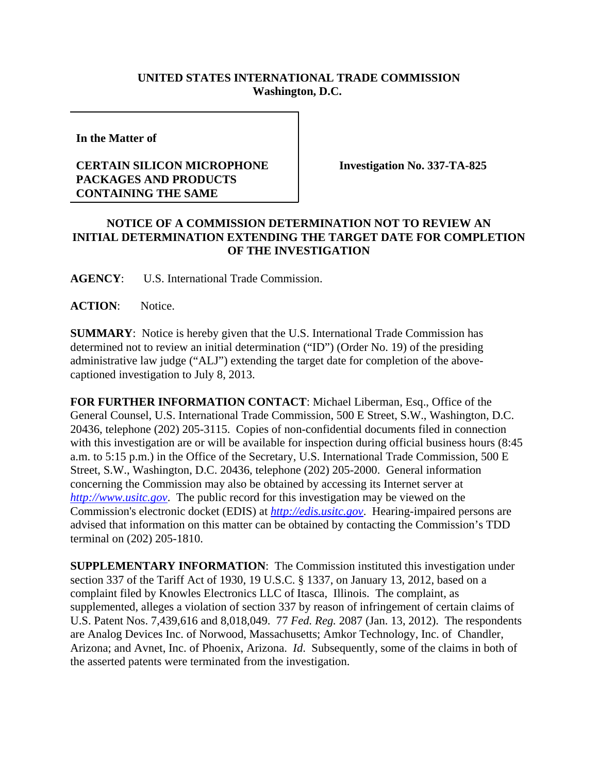## **UNITED STATES INTERNATIONAL TRADE COMMISSION Washington, D.C.**

**In the Matter of** 

## **CERTAIN SILICON MICROPHONE PACKAGES AND PRODUCTS CONTAINING THE SAME**

**Investigation No. 337-TA-825**

## **NOTICE OF A COMMISSION DETERMINATION NOT TO REVIEW AN INITIAL DETERMINATION EXTENDING THE TARGET DATE FOR COMPLETION OF THE INVESTIGATION**

**AGENCY**: U.S. International Trade Commission.

ACTION: Notice.

**SUMMARY**: Notice is hereby given that the U.S. International Trade Commission has determined not to review an initial determination ("ID") (Order No. 19) of the presiding administrative law judge ("ALJ") extending the target date for completion of the abovecaptioned investigation to July 8, 2013.

**FOR FURTHER INFORMATION CONTACT**: Michael Liberman, Esq., Office of the General Counsel, U.S. International Trade Commission, 500 E Street, S.W., Washington, D.C. 20436, telephone (202) 205-3115. Copies of non-confidential documents filed in connection with this investigation are or will be available for inspection during official business hours (8:45 a.m. to 5:15 p.m.) in the Office of the Secretary, U.S. International Trade Commission, 500 E Street, S.W., Washington, D.C. 20436, telephone (202) 205-2000. General information concerning the Commission may also be obtained by accessing its Internet server at *http://www.usitc.gov*. The public record for this investigation may be viewed on the Commission's electronic docket (EDIS) at *http://edis.usitc.gov*. Hearing-impaired persons are advised that information on this matter can be obtained by contacting the Commission's TDD terminal on (202) 205-1810.

**SUPPLEMENTARY INFORMATION**: The Commission instituted this investigation under section 337 of the Tariff Act of 1930, 19 U.S.C. § 1337, on January 13, 2012, based on a complaint filed by Knowles Electronics LLC of Itasca, Illinois. The complaint, as supplemented, alleges a violation of section 337 by reason of infringement of certain claims of U.S. Patent Nos. 7,439,616 and 8,018,049. 77 *Fed. Reg.* 2087 (Jan. 13, 2012). The respondents are Analog Devices Inc. of Norwood, Massachusetts; Amkor Technology, Inc. of Chandler, Arizona; and Avnet, Inc. of Phoenix, Arizona. *Id*. Subsequently, some of the claims in both of the asserted patents were terminated from the investigation.